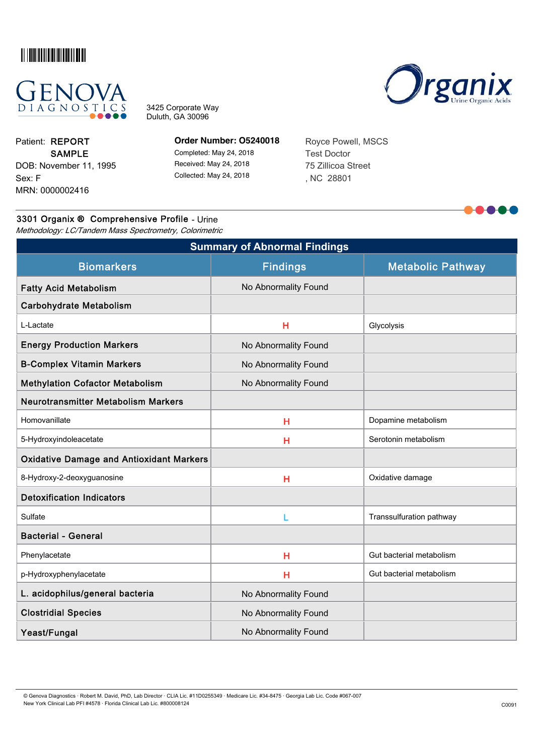



3425 Corporate Way Duluth, GA 30096



MRN: 0000002416 Sex: F DOB: November 11, 1995 SAMPLE Patient: REPORT

**Order Number: O5240018**

Completed: May 24, 2018 Received: May 24, 2018 Collected: May 24, 2018

Royce Powell, MSCS Test Doctor 75 Zillicoa Street , NC 28801

|  |  | 3301 Organix ® Comprehensive Profile - Urine |  |  |
|--|--|----------------------------------------------|--|--|
|--|--|----------------------------------------------|--|--|

Methodology: LC/Tandem Mass Spectrometry, Colorimetric

| <b>Summary of Abnormal Findings</b>             |                      |                          |  |  |  |  |
|-------------------------------------------------|----------------------|--------------------------|--|--|--|--|
| <b>Biomarkers</b>                               | <b>Findings</b>      | <b>Metabolic Pathway</b> |  |  |  |  |
| <b>Fatty Acid Metabolism</b>                    | No Abnormality Found |                          |  |  |  |  |
| <b>Carbohydrate Metabolism</b>                  |                      |                          |  |  |  |  |
| L-Lactate                                       | H                    | Glycolysis               |  |  |  |  |
| <b>Energy Production Markers</b>                | No Abnormality Found |                          |  |  |  |  |
| <b>B-Complex Vitamin Markers</b>                | No Abnormality Found |                          |  |  |  |  |
| <b>Methylation Cofactor Metabolism</b>          | No Abnormality Found |                          |  |  |  |  |
| <b>Neurotransmitter Metabolism Markers</b>      |                      |                          |  |  |  |  |
| Homovanillate                                   | H                    | Dopamine metabolism      |  |  |  |  |
| 5-Hydroxyindoleacetate                          | Н                    | Serotonin metabolism     |  |  |  |  |
| <b>Oxidative Damage and Antioxidant Markers</b> |                      |                          |  |  |  |  |
| 8-Hydroxy-2-deoxyguanosine                      | H                    | Oxidative damage         |  |  |  |  |
| <b>Detoxification Indicators</b>                |                      |                          |  |  |  |  |
| Sulfate                                         | L                    | Transsulfuration pathway |  |  |  |  |
| <b>Bacterial - General</b>                      |                      |                          |  |  |  |  |
| Phenylacetate                                   | H                    | Gut bacterial metabolism |  |  |  |  |
| p-Hydroxyphenylacetate                          | H                    | Gut bacterial metabolism |  |  |  |  |
| L. acidophilus/general bacteria                 | No Abnormality Found |                          |  |  |  |  |
| <b>Clostridial Species</b>                      | No Abnormality Found |                          |  |  |  |  |
| Yeast/Fungal                                    | No Abnormality Found |                          |  |  |  |  |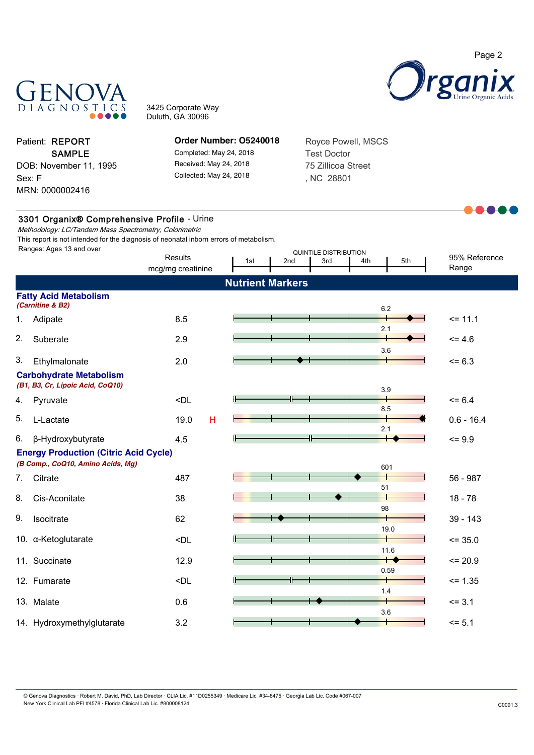

Royce Powell, MSCS

Test Doctor 75 Zillicoa Street , NC 28801



3425 Corporate Way Duluth, GA 30096

> **Order Number: O5240018** Completed: May 24, 2018 Received: May 24, 2018 Collected: May 24, 2018

MRN: 0000002416 Sex: F DOB: November 11, 1995 SAMPLE Patient: REPORT

3301 Organix® Comprehensive Profile - Urine

Methodology: LC/Tandem Mass Spectrometry, Colorimetric This report is not intended for the diagnosis of neonatal inborn errors of metabolism.

| Ranges: Ages 13 and over |                                                                                   | <b>Results</b>                                                                             | QUINTILE DISTRIBUTION   |     |     |            |                                       | 95% Reference |
|--------------------------|-----------------------------------------------------------------------------------|--------------------------------------------------------------------------------------------|-------------------------|-----|-----|------------|---------------------------------------|---------------|
|                          |                                                                                   | mcg/mg creatinine                                                                          | 1st                     | 2nd | 3rd | 4th        | 5th                                   | Range         |
|                          |                                                                                   |                                                                                            | <b>Nutrient Markers</b> |     |     |            |                                       |               |
|                          | <b>Fatty Acid Metabolism</b><br>(Carnitine & B2)                                  |                                                                                            |                         |     |     | 6.2        |                                       |               |
| 1.                       | Adipate                                                                           | 8.5                                                                                        |                         |     |     | 2.1        |                                       | $= 11.1$      |
| 2.                       | Suberate                                                                          | 2.9                                                                                        |                         |     |     | 3.6        |                                       | $= 4.6$       |
| 3.                       | Ethylmalonate                                                                     | 2.0                                                                                        |                         |     |     |            |                                       | $= 6.3$       |
|                          | <b>Carbohydrate Metabolism</b><br>(B1, B3, Cr, Lipoic Acid, CoQ10)                |                                                                                            |                         |     |     | 3.9        |                                       |               |
| 4.                       | Pyruvate                                                                          | $\n  <$ DL                                                                                 |                         |     |     |            |                                       | $= 6.4$       |
| 5.                       | L-Lactate                                                                         | н<br>19.0                                                                                  |                         |     |     | 8.5<br>2.1 |                                       | $0.6 - 16.4$  |
| 6.                       | β-Hydroxybutyrate                                                                 | 4.5                                                                                        |                         |     |     |            |                                       | $= 9.9$       |
|                          | <b>Energy Production (Citric Acid Cycle)</b><br>(B Comp., CoQ10, Amino Acids, Mg) |                                                                                            |                         |     |     | 601        |                                       |               |
| 7.                       | Citrate                                                                           | 487                                                                                        |                         |     |     | 51         |                                       | 56 - 987      |
| 8.                       | Cis-Aconitate                                                                     | 38                                                                                         |                         |     |     |            |                                       | $18 - 78$     |
| 9.                       | Isocitrate                                                                        | 62                                                                                         |                         |     |     | 98         | 19.0                                  | $39 - 143$    |
|                          | 10. a-Ketoglutarate                                                               | <dl< td=""><td></td><td></td><td></td><td></td><td></td><td><math>= 35.0</math></td></dl<> |                         |     |     |            |                                       | $= 35.0$      |
|                          | 11. Succinate                                                                     | 12.9                                                                                       |                         |     |     |            | 11.6<br>$\mathord{\text{--}}$<br>0.59 | $= 20.9$      |
|                          | 12. Fumarate                                                                      | <dl< td=""><td></td><td></td><td></td><td></td><td></td><td><math>= 1.35</math></td></dl<> |                         |     |     |            |                                       | $= 1.35$      |
|                          | 13. Malate                                                                        | 0.6                                                                                        |                         |     |     | 1.4<br>3.6 |                                       | $= 3.1$       |
|                          | 14. Hydroxymethylglutarate                                                        | 3.2                                                                                        |                         |     |     |            |                                       | $= 5.1$       |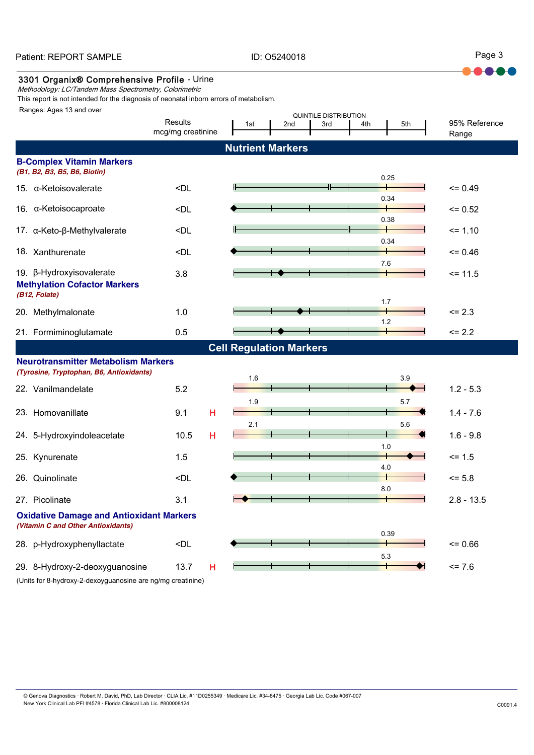ID: O5240018

Page 3

**....** 

### 3301 Organix® Comprehensive Profile - Urine

Methodology: LC/Tandem Mass Spectrometry, Colorimetric

This report is not intended for the diagnosis of neonatal inborn errors of metabolism.

Ranges: Ages 13 and over

| Ranges: Ages 13 and over                                                              |                                                                                                 |                                |     | QUINTILE DISTRIBUTION |     |      |                        |
|---------------------------------------------------------------------------------------|-------------------------------------------------------------------------------------------------|--------------------------------|-----|-----------------------|-----|------|------------------------|
|                                                                                       | Results<br>mcg/mg creatinine                                                                    | 1st                            | 2nd | 3rd                   | 4th | 5th  | 95% Reference<br>Range |
|                                                                                       |                                                                                                 | <b>Nutrient Markers</b>        |     |                       |     |      |                        |
| <b>B-Complex Vitamin Markers</b>                                                      |                                                                                                 |                                |     |                       |     |      |                        |
| (B1, B2, B3, B5, B6, Biotin)                                                          |                                                                                                 |                                |     |                       |     |      |                        |
| 15. $\alpha$ -Ketoisovalerate                                                         | <dl< td=""><td></td><td></td><td></td><td></td><td>0.25</td><td><math>= 0.49</math></td></dl<>  |                                |     |                       |     | 0.25 | $= 0.49$               |
|                                                                                       |                                                                                                 |                                |     |                       |     | 0.34 |                        |
| 16. α-Ketoisocaproate                                                                 | <dl< td=""><td></td><td></td><td></td><td></td><td></td><td><math>= 0.52</math></td></dl<>      |                                |     |                       |     |      | $= 0.52$               |
| 17. α-Keto-β-Methylvalerate                                                           | <dl< td=""><td></td><td></td><td></td><td>╫</td><td>0.38</td><td><math>= 1.10</math></td></dl<> |                                |     |                       | ╫   | 0.38 | $= 1.10$               |
|                                                                                       |                                                                                                 |                                |     |                       |     | 0.34 |                        |
| 18. Xanthurenate                                                                      | <dl< td=""><td></td><td></td><td></td><td></td><td></td><td><math>= 0.46</math></td></dl<>      |                                |     |                       |     |      | $= 0.46$               |
| 19. β-Hydroxyisovalerate                                                              | 3.8                                                                                             |                                |     |                       | 7.6 |      | $= 11.5$               |
| <b>Methylation Cofactor Markers</b>                                                   |                                                                                                 |                                |     |                       |     |      |                        |
| (B12, Folate)                                                                         |                                                                                                 |                                |     |                       | 1.7 |      |                        |
| 20. Methylmalonate                                                                    | 1.0                                                                                             |                                |     |                       |     |      | $= 2.3$                |
| 21. Formiminoglutamate                                                                | 0.5                                                                                             |                                |     |                       | 1.2 |      | $= 2.2$                |
|                                                                                       |                                                                                                 | <b>Cell Regulation Markers</b> |     |                       |     |      |                        |
| <b>Neurotransmitter Metabolism Markers</b>                                            |                                                                                                 |                                |     |                       |     |      |                        |
| (Tyrosine, Tryptophan, B6, Antioxidants)                                              |                                                                                                 | 1.6                            |     |                       |     | 3.9  |                        |
| 22. Vanilmandelate                                                                    | 5.2                                                                                             |                                |     |                       |     |      | $1.2 - 5.3$            |
|                                                                                       |                                                                                                 | 1.9                            |     |                       |     | 5.7  |                        |
| 23. Homovanillate                                                                     | H<br>9.1                                                                                        |                                |     |                       |     |      | $1.4 - 7.6$            |
| 24. 5-Hydroxyindoleacetate                                                            | Н<br>10.5                                                                                       | 2.1                            |     |                       |     | 5.6  | $1.6 - 9.8$            |
|                                                                                       |                                                                                                 |                                |     |                       | 1.0 |      |                        |
| 25. Kynurenate                                                                        | 1.5                                                                                             |                                |     |                       |     |      | $= 1.5$                |
| 26. Quinolinate                                                                       | <dl< td=""><td></td><td></td><td></td><td>4.0</td><td></td><td><math>= 5.8</math></td></dl<>    |                                |     |                       | 4.0 |      | $= 5.8$                |
|                                                                                       |                                                                                                 |                                |     |                       | 8.0 |      |                        |
| 27. Picolinate                                                                        | 3.1                                                                                             |                                |     |                       |     |      | $2.8 - 13.5$           |
| <b>Oxidative Damage and Antioxidant Markers</b><br>(Vitamin C and Other Antioxidants) |                                                                                                 |                                |     |                       |     |      |                        |
| 28. p-Hydroxyphenyllactate                                                            | <dl< td=""><td></td><td></td><td></td><td></td><td>0.39</td><td><math>= 0.66</math></td></dl<>  |                                |     |                       |     | 0.39 | $= 0.66$               |
|                                                                                       |                                                                                                 |                                |     |                       | 5.3 |      |                        |
| 29. 8-Hydroxy-2-deoxyguanosine                                                        | 13.7<br>н                                                                                       |                                |     |                       |     |      | $= 7.6$                |
| (Units for 8-hydroxy-2-dexoyguanosine are ng/mg creatinine)                           |                                                                                                 |                                |     |                       |     |      |                        |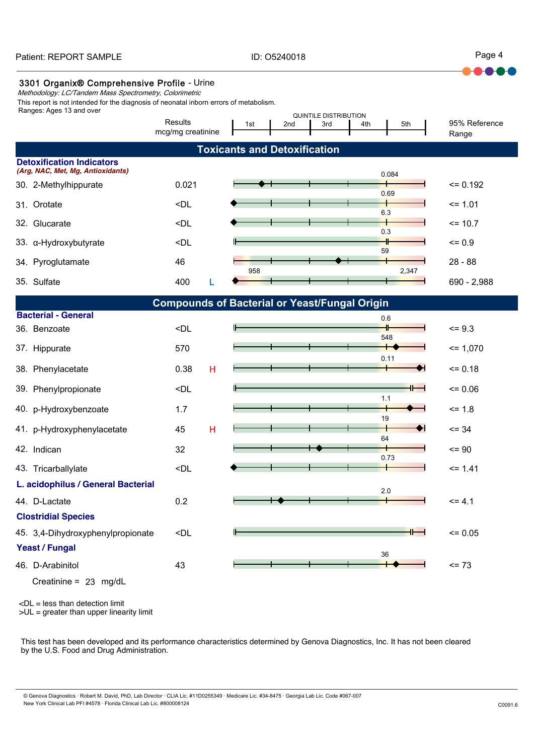ID: O5240018

Page 4

 $\bullet$ 

### 3301 Organix® Comprehensive Profile - Urine

Methodology: LC/Tandem Mass Spectrometry, Colorimetric

Ranges: Ages 13 and over This report is not intended for the diagnosis of neonatal inborn errors of metabolism.

| , whyev, , goo to and oro.                                            |                                                                                                         |   | QUINTILE DISTRIBUTION               |     |     |     |            |                        |
|-----------------------------------------------------------------------|---------------------------------------------------------------------------------------------------------|---|-------------------------------------|-----|-----|-----|------------|------------------------|
|                                                                       | Results<br>mcg/mg creatinine                                                                            |   | 1st                                 | 2nd | 3rd | 4th | 5th        | 95% Reference<br>Range |
|                                                                       |                                                                                                         |   | <b>Toxicants and Detoxification</b> |     |     |     |            |                        |
| <b>Detoxification Indicators</b><br>(Arg, NAC, Met, Mg, Antioxidants) |                                                                                                         |   |                                     |     |     |     |            |                        |
| 30. 2-Methylhippurate                                                 | 0.021                                                                                                   |   |                                     |     |     |     | 0.084      | $= 0.192$              |
| 31. Orotate                                                           | <dl< td=""><td></td><td></td><td></td><td></td><td></td><td>0.69</td><td><math>= 1.01</math></td></dl<> |   |                                     |     |     |     | 0.69       | $= 1.01$               |
|                                                                       |                                                                                                         |   |                                     |     |     |     | 6.3        |                        |
| 32. Glucarate                                                         | <dl< td=""><td></td><td></td><td></td><td></td><td></td><td>0.3</td><td><math>= 10.7</math></td></dl<>  |   |                                     |     |     |     | 0.3        | $= 10.7$               |
| 33. a-Hydroxybutyrate                                                 | <dl< td=""><td></td><td></td><td></td><td></td><td></td><td>59</td><td><math>= 0.9</math></td></dl<>    |   |                                     |     |     |     | 59         | $= 0.9$                |
| 34. Pyroglutamate                                                     | 46                                                                                                      |   | 958                                 |     |     |     | 2,347      | $28 - 88$              |
| 35. Sulfate                                                           | 400                                                                                                     |   |                                     |     |     |     |            | 690 - 2,988            |
|                                                                       | <b>Compounds of Bacterial or Yeast/Fungal Origin</b>                                                    |   |                                     |     |     |     |            |                        |
| <b>Bacterial - General</b>                                            |                                                                                                         |   |                                     |     |     |     | 0.6        |                        |
| 36. Benzoate                                                          | <dl< td=""><td></td><td></td><td></td><td></td><td></td><td>548</td><td><math>= 9.3</math></td></dl<>   |   |                                     |     |     |     | 548        | $= 9.3$                |
| 37. Hippurate                                                         | 570                                                                                                     |   |                                     |     |     |     |            | $= 1,070$              |
| 38. Phenylacetate                                                     | 0.38                                                                                                    | н |                                     |     |     |     | 0.11       | $= 0.18$               |
| 39. Phenylpropionate                                                  | <dl< td=""><td></td><td></td><td></td><td></td><td></td><td>╫═┥</td><td><math>= 0.06</math></td></dl<>  |   |                                     |     |     |     | ╫═┥        | $= 0.06$               |
| 40. p-Hydroxybenzoate                                                 | 1.7                                                                                                     |   |                                     |     |     |     | 1.1        | $= 1.8$                |
| 41. p-Hydroxyphenylacetate                                            | 45                                                                                                      | н |                                     |     |     |     | 19         | $= 34$                 |
| 42. Indican                                                           | 32                                                                                                      |   |                                     |     |     |     | 64<br>0.73 | $= 90$                 |
| 43. Tricarballylate                                                   | <dl< td=""><td></td><td></td><td></td><td></td><td></td><td></td><td><math>= 1.41</math></td></dl<>     |   |                                     |     |     |     |            | $= 1.41$               |
| L. acidophilus / General Bacterial                                    |                                                                                                         |   |                                     |     |     |     | 2.0        |                        |
| 44. D-Lactate                                                         | 0.2                                                                                                     |   |                                     |     |     |     |            | $= 4.1$                |
| <b>Clostridial Species</b>                                            |                                                                                                         |   |                                     |     |     |     |            |                        |
| 45. 3,4-Dihydroxyphenylpropionate                                     | <dl< td=""><td></td><td></td><td></td><td></td><td></td><td></td><td><math>= 0.05</math></td></dl<>     |   |                                     |     |     |     |            | $= 0.05$               |
| <b>Yeast / Fungal</b>                                                 |                                                                                                         |   |                                     |     |     |     | 36         |                        |
| 46. D-Arabinitol                                                      | 43                                                                                                      |   |                                     |     |     |     |            | $= 73$                 |
| Creatinine = $23 \text{ mg/dL}$                                       |                                                                                                         |   |                                     |     |     |     |            |                        |

<DL = less than detection limit

>UL = greater than upper linearity limit

This test has been developed and its performance characteristics determined by Genova Diagnostics, Inc. It has not been cleared by the U.S. Food and Drug Administration.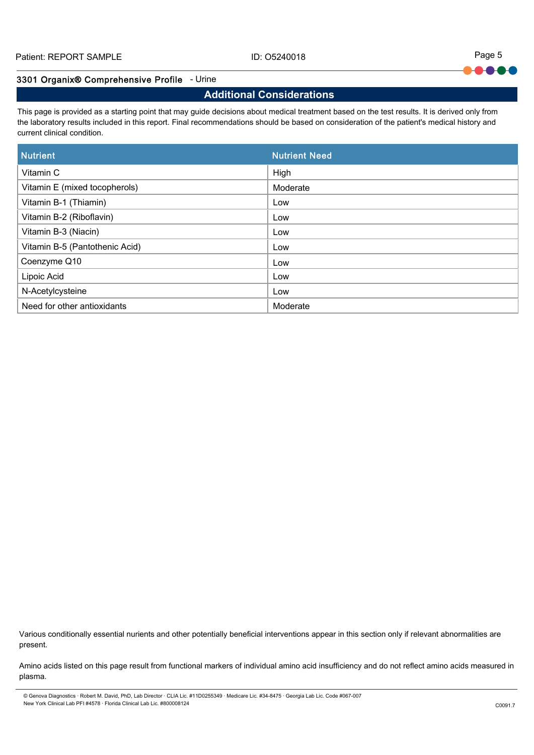Page 5 HO-

### 3301 Organix® Comprehensive Profile - Urine

## **Additional Considerations**

This page is provided as a starting point that may guide decisions about medical treatment based on the test results. It is derived only from the laboratory results included in this report. Final recommendations should be based on consideration of the patient's medical history and current clinical condition.

| <b>Nutrient</b>                | <b>Nutrient Need</b> |
|--------------------------------|----------------------|
| Vitamin C                      | High                 |
| Vitamin E (mixed tocopherols)  | Moderate             |
| Vitamin B-1 (Thiamin)          | Low                  |
| Vitamin B-2 (Riboflavin)       | Low                  |
| Vitamin B-3 (Niacin)           | Low                  |
| Vitamin B-5 (Pantothenic Acid) | Low                  |
| Coenzyme Q10                   | Low                  |
| Lipoic Acid                    | Low                  |
| N-Acetylcysteine               | Low                  |
| Need for other antioxidants    | Moderate             |

Various conditionally essential nurients and other potentially beneficial interventions appear in this section only if relevant abnormalities are present.

Amino acids listed on this page result from functional markers of individual amino acid insufficiency and do not reflect amino acids measured in plasma.